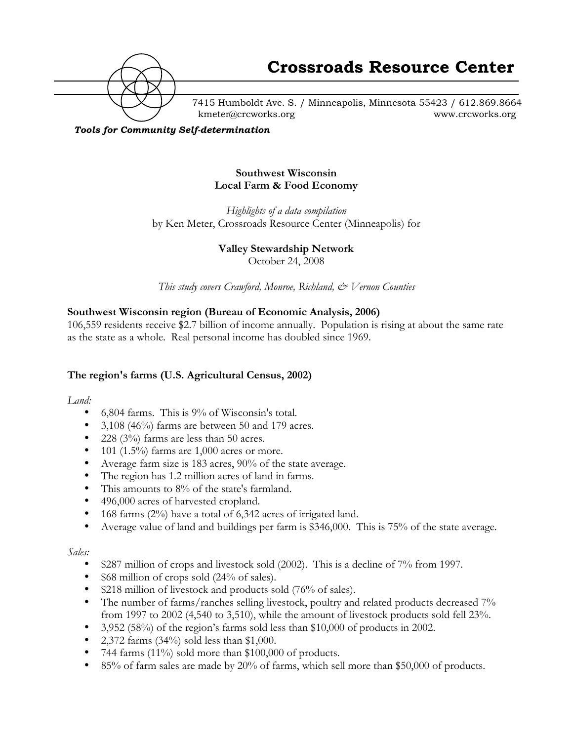

7415 Humboldt Ave. S. / Minneapolis, Minnesota 55423 / 612.869.8664 kmeter@crcworks.org www.crcworks.org

*Tools for Community Self-determination*

#### **Southwest Wisconsin Local Farm & Food Economy**

*Highlights of a data compilation* by Ken Meter, Crossroads Resource Center (Minneapolis) for

## **Valley Stewardship Network**

October 24, 2008

*This study covers Crawford, Monroe, Richland, & Vernon Counties*

## **Southwest Wisconsin region (Bureau of Economic Analysis, 2006)**

106,559 residents receive \$2.7 billion of income annually. Population is rising at about the same rate as the state as a whole. Real personal income has doubled since 1969.

## **The region's farms (U.S. Agricultural Census, 2002)**

*Land:*

6,804 farms. This is 9% of Wisconsin's total. 3,108 (46%) farms are between 50 and 179 acres. 228 (3%) farms are less than 50 acres. 101 (1.5%) farms are 1,000 acres or more. Average farm size is 183 acres, 90% of the state average. The region has 1.2 million acres of land in farms. This amounts to 8% of the state's farmland. 496,000 acres of harvested cropland. 168 farms (2%) have a total of 6,342 acres of irrigated land. Average value of land and buildings per farm is \$346,000. This is 75% of the state average.

*Sales:*

\$287 million of crops and livestock sold (2002). This is a decline of 7% from 1997. \$68 million of crops sold (24% of sales). \$218 million of livestock and products sold (76% of sales). The number of farms/ranches selling livestock, poultry and related products decreased 7% from 1997 to 2002 (4,540 to 3,510), while the amount of livestock products sold fell 23%. 3,952 (58%) of the region's farms sold less than \$10,000 of products in 2002. 2,372 farms (34%) sold less than \$1,000. 744 farms (11%) sold more than \$100,000 of products. 85% of farm sales are made by 20% of farms, which sell more than \$50,000 of products.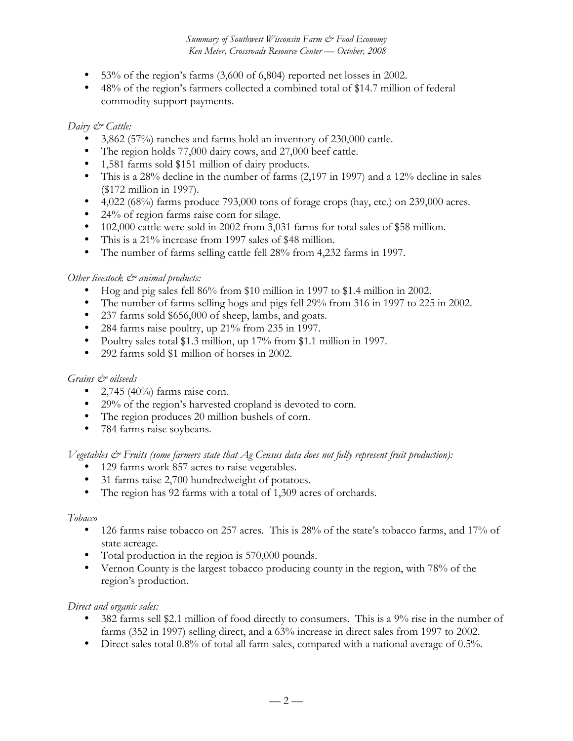53% of the region's farms (3,600 of 6,804) reported net losses in 2002. 48% of the region's farmers collected a combined total of \$14.7 million of federal commodity support payments.

## *Dairy & Cattle:*

3,862 (57%) ranches and farms hold an inventory of 230,000 cattle. The region holds 77,000 dairy cows, and 27,000 beef cattle. 1,581 farms sold \$151 million of dairy products. This is a 28% decline in the number of farms (2,197 in 1997) and a 12% decline in sales (\$172 million in 1997). 4,022 (68%) farms produce 793,000 tons of forage crops (hay, etc.) on 239,000 acres. 24% of region farms raise corn for silage. 102,000 cattle were sold in 2002 from 3,031 farms for total sales of \$58 million. This is a 21% increase from 1997 sales of \$48 million. The number of farms selling cattle fell 28% from 4,232 farms in 1997.

## *Other livestock*  $\mathcal{Q}$  *animal products:*

Hog and pig sales fell 86% from \$10 million in 1997 to \$1.4 million in 2002. The number of farms selling hogs and pigs fell 29% from 316 in 1997 to 225 in 2002. 237 farms sold \$656,000 of sheep, lambs, and goats. 284 farms raise poultry, up 21% from 235 in 1997. Poultry sales total \$1.3 million, up 17% from \$1.1 million in 1997. 292 farms sold \$1 million of horses in 2002.

#### *Grains & oilseeds*

2,745 (40%) farms raise corn. 29% of the region's harvested cropland is devoted to corn. The region produces 20 million bushels of corn. 784 farms raise soybeans.

*Vegetables & Fruits (some farmers state that Ag Census data does not fully represent fruit production):*

129 farms work 857 acres to raise vegetables.

31 farms raise 2,700 hundredweight of potatoes.

The region has 92 farms with a total of 1,309 acres of orchards.

#### *Tobacco*

126 farms raise tobacco on 257 acres. This is 28% of the state's tobacco farms, and 17% of state acreage.

Total production in the region is 570,000 pounds.

Vernon County is the largest tobacco producing county in the region, with 78% of the region's production.

#### *Direct and organic sales:*

382 farms sell \$2.1 million of food directly to consumers. This is a 9% rise in the number of farms (352 in 1997) selling direct, and a 63% increase in direct sales from 1997 to 2002. Direct sales total 0.8% of total all farm sales, compared with a national average of 0.5%.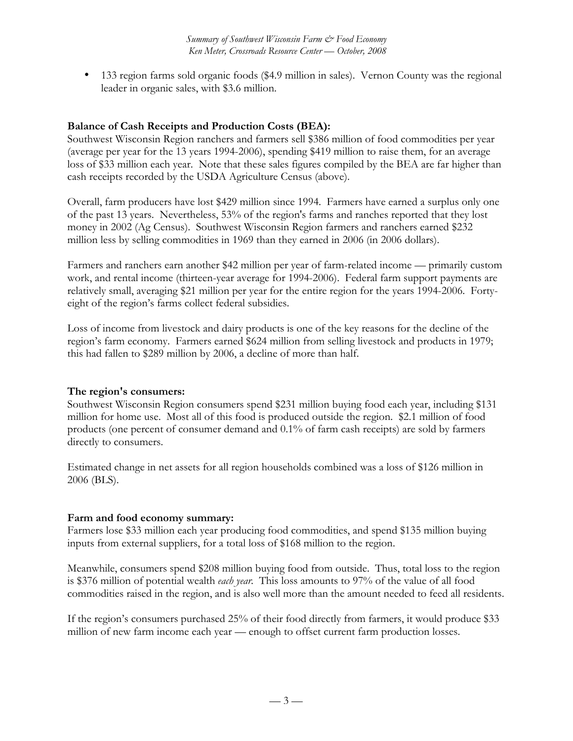133 region farms sold organic foods (\$4.9 million in sales). Vernon County was the regional leader in organic sales, with \$3.6 million.

## **Balance of Cash Receipts and Production Costs (BEA):**

Southwest Wisconsin Region ranchers and farmers sell \$386 million of food commodities per year (average per year for the 13 years 1994-2006), spending \$419 million to raise them, for an average loss of \$33 million each year. Note that these sales figures compiled by the BEA are far higher than cash receipts recorded by the USDA Agriculture Census (above).

Overall, farm producers have lost \$429 million since 1994. Farmers have earned a surplus only one of the past 13 years. Nevertheless, 53% of the region's farms and ranches reported that they lost money in 2002 (Ag Census). Southwest Wisconsin Region farmers and ranchers earned \$232 million less by selling commodities in 1969 than they earned in 2006 (in 2006 dollars).

Farmers and ranchers earn another \$42 million per year of farm-related income — primarily custom work, and rental income (thirteen-year average for 1994-2006). Federal farm support payments are relatively small, averaging \$21 million per year for the entire region for the years 1994-2006. Fortyeight of the region's farms collect federal subsidies.

Loss of income from livestock and dairy products is one of the key reasons for the decline of the region's farm economy. Farmers earned \$624 million from selling livestock and products in 1979; this had fallen to \$289 million by 2006, a decline of more than half.

## **The region's consumers:**

Southwest Wisconsin Region consumers spend \$231 million buying food each year, including \$131 million for home use. Most all of this food is produced outside the region. \$2.1 million of food products (one percent of consumer demand and 0.1% of farm cash receipts) are sold by farmers directly to consumers.

Estimated change in net assets for all region households combined was a loss of \$126 million in 2006 (BLS).

## **Farm and food economy summary:**

Farmers lose \$33 million each year producing food commodities, and spend \$135 million buying inputs from external suppliers, for a total loss of \$168 million to the region.

Meanwhile, consumers spend \$208 million buying food from outside. Thus, total loss to the region is \$376 million of potential wealth *each year*. This loss amounts to 97% of the value of all food commodities raised in the region, and is also well more than the amount needed to feed all residents.

If the region's consumers purchased 25% of their food directly from farmers, it would produce \$33 million of new farm income each year — enough to offset current farm production losses.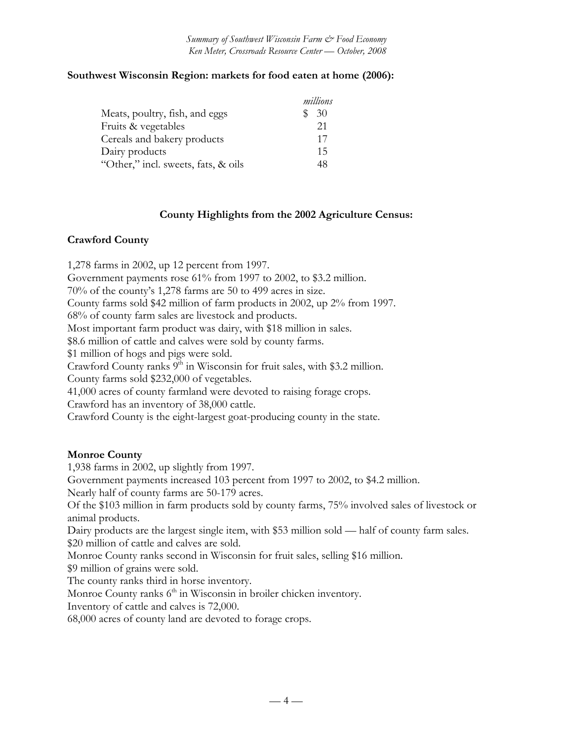## **Southwest Wisconsin Region: markets for food eaten at home (2006):**

|                                     | millions |
|-------------------------------------|----------|
| Meats, poultry, fish, and eggs      | 30       |
| Fruits & vegetables                 | 21       |
| Cereals and bakery products         | 17       |
| Dairy products                      | 15       |
| "Other," incl. sweets, fats, & oils | 48       |

#### **County Highlights from the 2002 Agriculture Census:**

#### **Crawford County**

1,278 farms in 2002, up 12 percent from 1997. Government payments rose 61% from 1997 to 2002, to \$3.2 million. 70% of the county's 1,278 farms are 50 to 499 acres in size. County farms sold \$42 million of farm products in 2002, up 2% from 1997. 68% of county farm sales are livestock and products. Most important farm product was dairy, with \$18 million in sales. \$8.6 million of cattle and calves were sold by county farms. \$1 million of hogs and pigs were sold. Crawford County ranks  $9<sup>th</sup>$  in Wisconsin for fruit sales, with \$3.2 million. County farms sold \$232,000 of vegetables. 41,000 acres of county farmland were devoted to raising forage crops. Crawford has an inventory of 38,000 cattle. Crawford County is the eight-largest goat-producing county in the state.

## **Monroe County**

1,938 farms in 2002, up slightly from 1997.

Government payments increased 103 percent from 1997 to 2002, to \$4.2 million.

Nearly half of county farms are 50-179 acres.

Of the \$103 million in farm products sold by county farms, 75% involved sales of livestock or animal products.

Dairy products are the largest single item, with \$53 million sold — half of county farm sales. \$20 million of cattle and calves are sold.

Monroe County ranks second in Wisconsin for fruit sales, selling \$16 million.

\$9 million of grains were sold.

The county ranks third in horse inventory.

Monroe County ranks 6<sup>th</sup> in Wisconsin in broiler chicken inventory.

Inventory of cattle and calves is 72,000.

68,000 acres of county land are devoted to forage crops.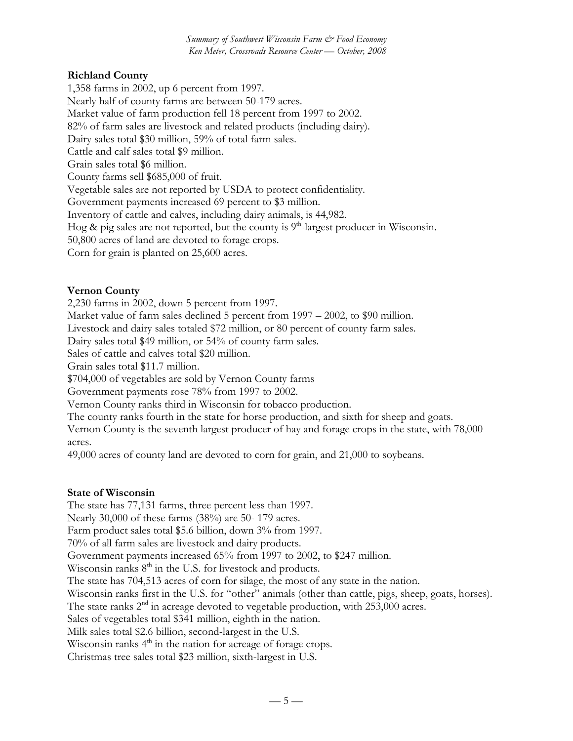# **Richland County**

1,358 farms in 2002, up 6 percent from 1997. Nearly half of county farms are between 50-179 acres. Market value of farm production fell 18 percent from 1997 to 2002. 82% of farm sales are livestock and related products (including dairy). Dairy sales total \$30 million, 59% of total farm sales. Cattle and calf sales total \$9 million. Grain sales total \$6 million. County farms sell \$685,000 of fruit. Vegetable sales are not reported by USDA to protect confidentiality. Government payments increased 69 percent to \$3 million. Inventory of cattle and calves, including dairy animals, is 44,982. Hog  $\&$  pig sales are not reported, but the county is  $9<sup>th</sup>$ -largest producer in Wisconsin. 50,800 acres of land are devoted to forage crops. Corn for grain is planted on 25,600 acres.

## **Vernon County**

2,230 farms in 2002, down 5 percent from 1997.

Market value of farm sales declined 5 percent from 1997 – 2002, to \$90 million.

Livestock and dairy sales totaled \$72 million, or 80 percent of county farm sales.

Dairy sales total \$49 million, or 54% of county farm sales.

Sales of cattle and calves total \$20 million.

Grain sales total \$11.7 million.

\$704,000 of vegetables are sold by Vernon County farms

Government payments rose 78% from 1997 to 2002.

Vernon County ranks third in Wisconsin for tobacco production.

The county ranks fourth in the state for horse production, and sixth for sheep and goats.

Vernon County is the seventh largest producer of hay and forage crops in the state, with 78,000 acres.

49,000 acres of county land are devoted to corn for grain, and 21,000 to soybeans.

## **State of Wisconsin**

The state has 77,131 farms, three percent less than 1997. Nearly 30,000 of these farms (38%) are 50- 179 acres. Farm product sales total \$5.6 billion, down  $3\%$  from 1997. 70% of all farm sales are livestock and dairy products. Government payments increased 65% from 1997 to 2002, to \$247 million. Wisconsin ranks  $8<sup>th</sup>$  in the U.S. for livestock and products. The state has 704,513 acres of corn for silage, the most of any state in the nation. Wisconsin ranks first in the U.S. for "other" animals (other than cattle, pigs, sheep, goats, horses). The state ranks  $2<sup>nd</sup>$  in acreage devoted to vegetable production, with 253,000 acres. Sales of vegetables total \$341 million, eighth in the nation. Milk sales total \$2.6 billion, second-largest in the U.S. Wisconsin ranks  $4<sup>th</sup>$  in the nation for acreage of forage crops. Christmas tree sales total \$23 million, sixth-largest in U.S.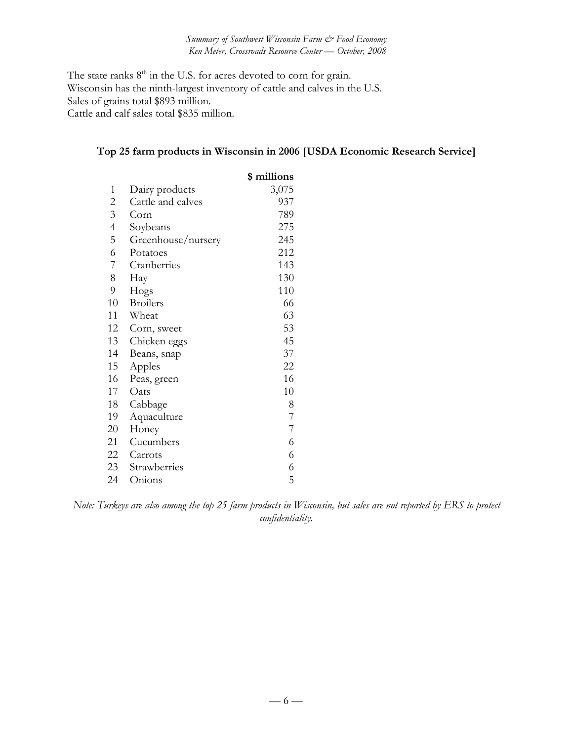The state ranks  $8<sup>th</sup>$  in the U.S. for acres devoted to corn for grain. Wisconsin has the ninth-largest inventory of cattle and calves in the U.S. Sales of grains total \$893 million. Cattle and calf sales total \$835 million.

# **Top 25 farm products in Wisconsin in 2006 [USDA Economic Research Service]**

|                |                    | \$ millions              |
|----------------|--------------------|--------------------------|
| 1              | Dairy products     | 3,075                    |
| 2              | Cattle and calves  | 937                      |
| 3              | Corn               | 789                      |
| $\overline{4}$ | Soybeans           | 275                      |
| 5              | Greenhouse/nursery | 245                      |
| 6              | Potatoes           | 212                      |
| 7              | Cranberries        | 143                      |
| 8              | Hay                | 130                      |
| 9              | Hogs               | 110                      |
| 10             | <b>Broilers</b>    | 66                       |
| 11             | Wheat              | 63                       |
| 12             | Corn, sweet        | 53                       |
| 13             | Chicken eggs       | 45                       |
| 14             | Beans, snap        | 37                       |
| 15             | Apples             | 22                       |
| 16             | Peas, green        | 16                       |
| 17             | Oats               | 10                       |
| 18             | Cabbage            | 8                        |
| 19             | Aquaculture        | 7                        |
| 20             | Honey              | $\overline{\mathcal{I}}$ |
| 21             | Cucumbers          | 6                        |
| 22             | Carrots            | 6                        |
| 23             | Strawberries       | 6                        |
| 24             | Onions             | 5                        |

*Note: Turkeys are also among the top 25 farm products in Wisconsin, but sales are not reported by ERS to protect confidentiality.*